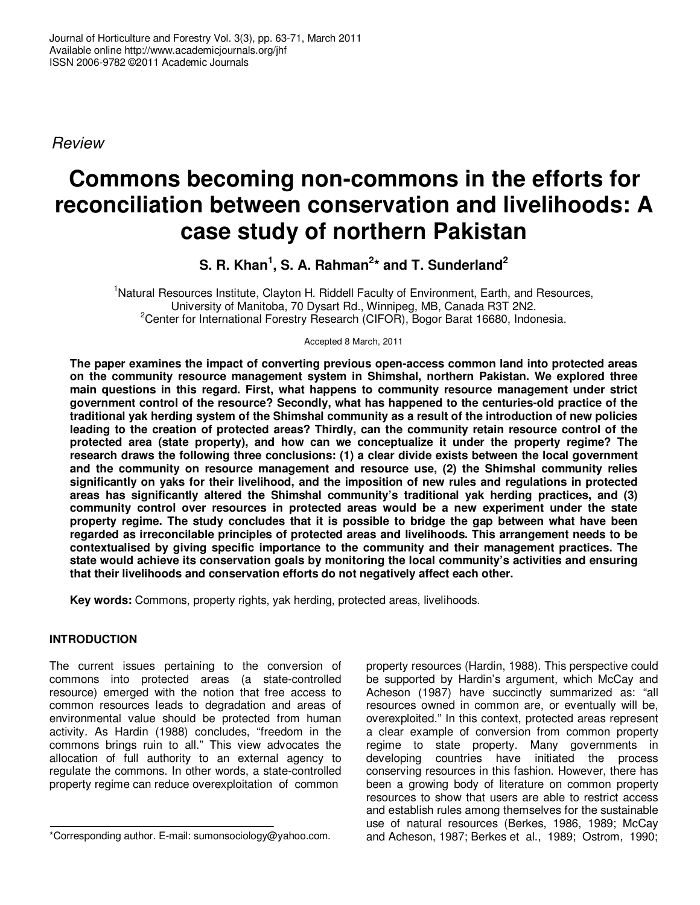Review

# **Commons becoming non-commons in the efforts for reconciliation between conservation and livelihoods: A case study of northern Pakistan**

**S. R. Khan<sup>1</sup> , S. A. Rahman<sup>2</sup> \* and T. Sunderland<sup>2</sup>**

<sup>1</sup>Natural Resources Institute, Clayton H. Riddell Faculty of Environment, Earth, and Resources, University of Manitoba, 70 Dysart Rd., Winnipeg, MB, Canada R3T 2N2. <sup>2</sup>Center for International Forestry Research (CIFOR), Bogor Barat 16680, Indonesia.

Accepted 8 March, 2011

**The paper examines the impact of converting previous open-access common land into protected areas on the community resource management system in Shimshal, northern Pakistan. We explored three main questions in this regard. First, what happens to community resource management under strict government control of the resource? Secondly, what has happened to the centuries-old practice of the traditional yak herding system of the Shimshal community as a result of the introduction of new policies leading to the creation of protected areas? Thirdly, can the community retain resource control of the protected area (state property), and how can we conceptualize it under the property regime? The research draws the following three conclusions: (1) a clear divide exists between the local government and the community on resource management and resource use, (2) the Shimshal community relies significantly on yaks for their livelihood, and the imposition of new rules and regulations in protected areas has significantly altered the Shimshal community's traditional yak herding practices, and (3) community control over resources in protected areas would be a new experiment under the state property regime. The study concludes that it is possible to bridge the gap between what have been regarded as irreconcilable principles of protected areas and livelihoods. This arrangement needs to be contextualised by giving specific importance to the community and their management practices. The state would achieve its conservation goals by monitoring the local community's activities and ensuring that their livelihoods and conservation efforts do not negatively affect each other.** 

**Key words:** Commons, property rights, yak herding, protected areas, livelihoods.

## **INTRODUCTION**

The current issues pertaining to the conversion of commons into protected areas (a state-controlled resource) emerged with the notion that free access to common resources leads to degradation and areas of environmental value should be protected from human activity. As Hardin (1988) concludes, "freedom in the commons brings ruin to all." This view advocates the allocation of full authority to an external agency to regulate the commons. In other words, a state-controlled property regime can reduce overexploitation of common

property resources (Hardin, 1988). This perspective could be supported by Hardin's argument, which McCay and Acheson (1987) have succinctly summarized as: "all resources owned in common are, or eventually will be, overexploited." In this context, protected areas represent a clear example of conversion from common property regime to state property. Many governments in developing countries have initiated the process conserving resources in this fashion. However, there has been a growing body of literature on common property resources to show that users are able to restrict access and establish rules among themselves for the sustainable use of natural resources (Berkes, 1986, 1989; McCay and Acheson, 1987; Berkes et al., 1989; Ostrom, 1990;

<sup>\*</sup>Corresponding author. E-mail: sumonsociology@yahoo.com.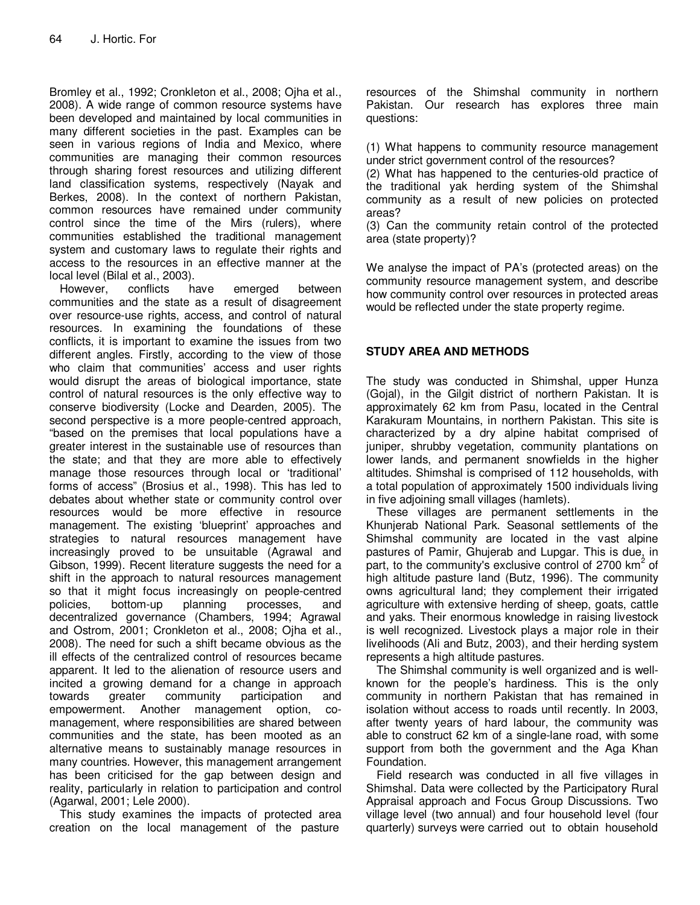Bromley et al., 1992; Cronkleton et al., 2008; Ojha et al., 2008). A wide range of common resource systems have been developed and maintained by local communities in many different societies in the past. Examples can be seen in various regions of India and Mexico, where communities are managing their common resources through sharing forest resources and utilizing different land classification systems, respectively (Nayak and Berkes, 2008). In the context of northern Pakistan, common resources have remained under community control since the time of the Mirs (rulers), where communities established the traditional management system and customary laws to regulate their rights and access to the resources in an effective manner at the local level (Bilal et al., 2003).

However, conflicts have emerged between communities and the state as a result of disagreement over resource-use rights, access, and control of natural resources. In examining the foundations of these conflicts, it is important to examine the issues from two different angles. Firstly, according to the view of those who claim that communities' access and user rights would disrupt the areas of biological importance, state control of natural resources is the only effective way to conserve biodiversity (Locke and Dearden, 2005). The second perspective is a more people-centred approach, "based on the premises that local populations have a greater interest in the sustainable use of resources than the state; and that they are more able to effectively manage those resources through local or 'traditional' forms of access" (Brosius et al., 1998). This has led to debates about whether state or community control over resources would be more effective in resource management. The existing 'blueprint' approaches and strategies to natural resources management have increasingly proved to be unsuitable (Agrawal and Gibson, 1999). Recent literature suggests the need for a shift in the approach to natural resources management so that it might focus increasingly on people-centred policies, bottom-up planning processes, and decentralized governance (Chambers, 1994; Agrawal and Ostrom, 2001; Cronkleton et al., 2008; Ojha et al., 2008). The need for such a shift became obvious as the ill effects of the centralized control of resources became apparent. It led to the alienation of resource users and incited a growing demand for a change in approach towards greater community participation and empowerment. Another management option, comanagement, where responsibilities are shared between communities and the state, has been mooted as an alternative means to sustainably manage resources in many countries. However, this management arrangement has been criticised for the gap between design and reality, particularly in relation to participation and control (Agarwal, 2001; Lele 2000).

This study examines the impacts of protected area creation on the local management of the pasture

resources of the Shimshal community in northern Pakistan. Our research has explores three main questions:

(1) What happens to community resource management under strict government control of the resources?

(2) What has happened to the centuries-old practice of the traditional yak herding system of the Shimshal community as a result of new policies on protected areas?

(3) Can the community retain control of the protected area (state property)?

We analyse the impact of PA's (protected areas) on the community resource management system, and describe how community control over resources in protected areas would be reflected under the state property regime.

### **STUDY AREA AND METHODS**

The study was conducted in Shimshal, upper Hunza (Gojal), in the Gilgit district of northern Pakistan. It is approximately 62 km from Pasu, located in the Central Karakuram Mountains, in northern Pakistan. This site is characterized by a dry alpine habitat comprised of juniper, shrubby vegetation, community plantations on lower lands, and permanent snowfields in the higher altitudes. Shimshal is comprised of 112 households, with a total population of approximately 1500 individuals living in five adjoining small villages (hamlets).

These villages are permanent settlements in the Khunjerab National Park. Seasonal settlements of the Shimshal community are located in the vast alpine pastures of Pamir, Ghujerab and Lupgar. This is due, in part, to the community's exclusive control of 2700  $km^2$  of high altitude pasture land (Butz, 1996). The community owns agricultural land; they complement their irrigated agriculture with extensive herding of sheep, goats, cattle and yaks. Their enormous knowledge in raising livestock is well recognized. Livestock plays a major role in their livelihoods (Ali and Butz, 2003), and their herding system represents a high altitude pastures.

The Shimshal community is well organized and is wellknown for the people's hardiness. This is the only community in northern Pakistan that has remained in isolation without access to roads until recently. In 2003, after twenty years of hard labour, the community was able to construct 62 km of a single-lane road, with some support from both the government and the Aga Khan Foundation.

Field research was conducted in all five villages in Shimshal. Data were collected by the Participatory Rural Appraisal approach and Focus Group Discussions. Two village level (two annual) and four household level (four quarterly) surveys were carried out to obtain household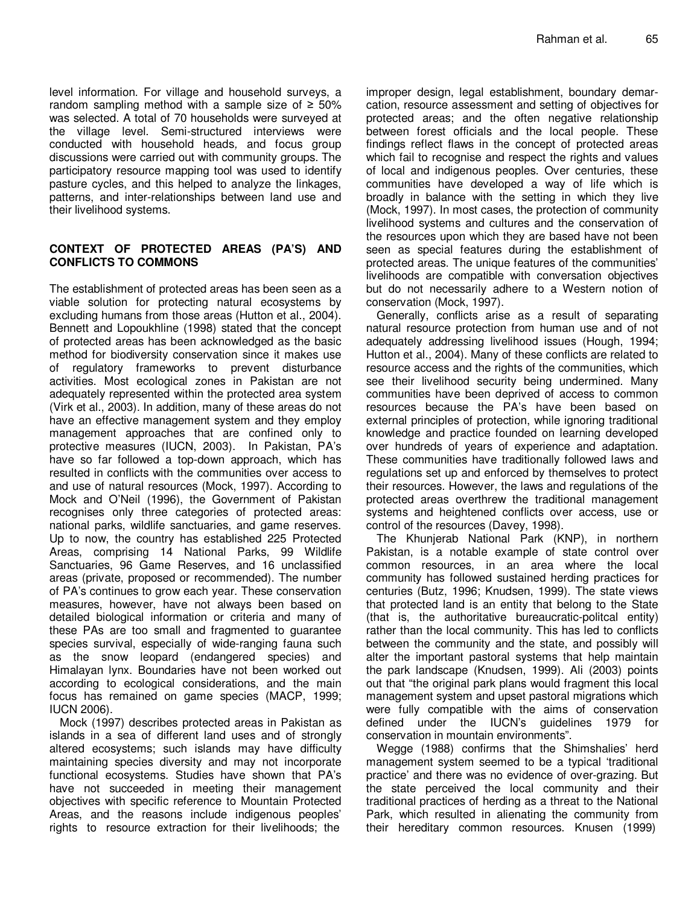level information. For village and household surveys, a random sampling method with a sample size of  $\geq 50\%$ was selected. A total of 70 households were surveyed at the village level. Semi-structured interviews were conducted with household heads, and focus group discussions were carried out with community groups. The participatory resource mapping tool was used to identify pasture cycles, and this helped to analyze the linkages, patterns, and inter-relationships between land use and their livelihood systems.

#### **CONTEXT OF PROTECTED AREAS (PA'S) AND CONFLICTS TO COMMONS**

The establishment of protected areas has been seen as a viable solution for protecting natural ecosystems by excluding humans from those areas (Hutton et al., 2004). Bennett and Lopoukhline (1998) stated that the concept of protected areas has been acknowledged as the basic method for biodiversity conservation since it makes use of regulatory frameworks to prevent disturbance activities. Most ecological zones in Pakistan are not adequately represented within the protected area system (Virk et al., 2003). In addition, many of these areas do not have an effective management system and they employ management approaches that are confined only to protective measures (IUCN, 2003). In Pakistan, PA's have so far followed a top-down approach, which has resulted in conflicts with the communities over access to and use of natural resources (Mock, 1997). According to Mock and O'Neil (1996), the Government of Pakistan recognises only three categories of protected areas: national parks, wildlife sanctuaries, and game reserves. Up to now, the country has established 225 Protected Areas, comprising 14 National Parks, 99 Wildlife Sanctuaries, 96 Game Reserves, and 16 unclassified areas (private, proposed or recommended). The number of PA's continues to grow each year. These conservation measures, however, have not always been based on detailed biological information or criteria and many of these PAs are too small and fragmented to guarantee species survival, especially of wide-ranging fauna such as the snow leopard (endangered species) and Himalayan lynx. Boundaries have not been worked out according to ecological considerations, and the main focus has remained on game species (MACP, 1999; IUCN 2006).

Mock (1997) describes protected areas in Pakistan as islands in a sea of different land uses and of strongly altered ecosystems; such islands may have difficulty maintaining species diversity and may not incorporate functional ecosystems. Studies have shown that PA's have not succeeded in meeting their management objectives with specific reference to Mountain Protected Areas, and the reasons include indigenous peoples' rights to resource extraction for their livelihoods; the

improper design, legal establishment, boundary demarcation, resource assessment and setting of objectives for protected areas; and the often negative relationship between forest officials and the local people. These findings reflect flaws in the concept of protected areas which fail to recognise and respect the rights and values of local and indigenous peoples. Over centuries, these communities have developed a way of life which is broadly in balance with the setting in which they live (Mock, 1997). In most cases, the protection of community livelihood systems and cultures and the conservation of the resources upon which they are based have not been seen as special features during the establishment of protected areas. The unique features of the communities' livelihoods are compatible with conversation objectives but do not necessarily adhere to a Western notion of conservation (Mock, 1997).

Generally, conflicts arise as a result of separating natural resource protection from human use and of not adequately addressing livelihood issues (Hough, 1994; Hutton et al., 2004). Many of these conflicts are related to resource access and the rights of the communities, which see their livelihood security being undermined. Many communities have been deprived of access to common resources because the PA's have been based on external principles of protection, while ignoring traditional knowledge and practice founded on learning developed over hundreds of years of experience and adaptation. These communities have traditionally followed laws and regulations set up and enforced by themselves to protect their resources. However, the laws and regulations of the protected areas overthrew the traditional management systems and heightened conflicts over access, use or control of the resources (Davey, 1998).

The Khunjerab National Park (KNP), in northern Pakistan, is a notable example of state control over common resources, in an area where the local community has followed sustained herding practices for centuries (Butz, 1996; Knudsen, 1999). The state views that protected land is an entity that belong to the State (that is, the authoritative bureaucratic-politcal entity) rather than the local community. This has led to conflicts between the community and the state, and possibly will alter the important pastoral systems that help maintain the park landscape (Knudsen, 1999). Ali (2003) points out that "the original park plans would fragment this local management system and upset pastoral migrations which were fully compatible with the aims of conservation defined under the IUCN's guidelines 1979 for conservation in mountain environments".

Wegge (1988) confirms that the Shimshalies' herd management system seemed to be a typical 'traditional practice' and there was no evidence of over-grazing. But the state perceived the local community and their traditional practices of herding as a threat to the National Park, which resulted in alienating the community from their hereditary common resources. Knusen (1999)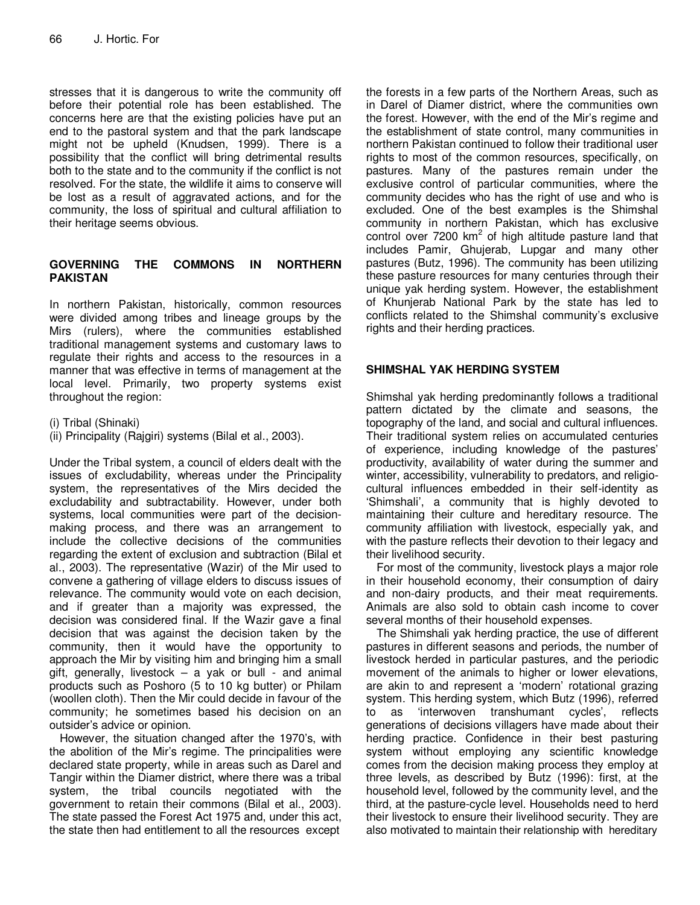stresses that it is dangerous to write the community off before their potential role has been established. The concerns here are that the existing policies have put an end to the pastoral system and that the park landscape might not be upheld (Knudsen, 1999). There is a possibility that the conflict will bring detrimental results both to the state and to the community if the conflict is not resolved. For the state, the wildlife it aims to conserve will be lost as a result of aggravated actions, and for the community, the loss of spiritual and cultural affiliation to their heritage seems obvious.

#### **GOVERNING THE COMMONS IN NORTHERN PAKISTAN**

In northern Pakistan, historically, common resources were divided among tribes and lineage groups by the Mirs (rulers), where the communities established traditional management systems and customary laws to regulate their rights and access to the resources in a manner that was effective in terms of management at the local level. Primarily, two property systems exist throughout the region:

(i) Tribal (Shinaki)

(ii) Principality (Rajgiri) systems (Bilal et al., 2003).

Under the Tribal system, a council of elders dealt with the issues of excludability, whereas under the Principality system, the representatives of the Mirs decided the excludability and subtractability. However, under both systems, local communities were part of the decisionmaking process, and there was an arrangement to include the collective decisions of the communities regarding the extent of exclusion and subtraction (Bilal et al., 2003). The representative (Wazir) of the Mir used to convene a gathering of village elders to discuss issues of relevance. The community would vote on each decision, and if greater than a majority was expressed, the decision was considered final. If the Wazir gave a final decision that was against the decision taken by the community, then it would have the opportunity to approach the Mir by visiting him and bringing him a small gift, generally, livestock  $-$  a yak or bull - and animal products such as Poshoro (5 to 10 kg butter) or Philam (woollen cloth). Then the Mir could decide in favour of the community; he sometimes based his decision on an outsider's advice or opinion.

However, the situation changed after the 1970's, with the abolition of the Mir's regime. The principalities were declared state property, while in areas such as Darel and Tangir within the Diamer district, where there was a tribal system, the tribal councils negotiated with the government to retain their commons (Bilal et al., 2003). The state passed the Forest Act 1975 and, under this act, the state then had entitlement to all the resources except

the forests in a few parts of the Northern Areas, such as in Darel of Diamer district, where the communities own the forest. However, with the end of the Mir's regime and the establishment of state control, many communities in northern Pakistan continued to follow their traditional user rights to most of the common resources, specifically, on pastures. Many of the pastures remain under the exclusive control of particular communities, where the community decides who has the right of use and who is excluded. One of the best examples is the Shimshal community in northern Pakistan, which has exclusive control over  $7200 \text{ km}^2$  of high altitude pasture land that includes Pamir, Ghujerab, Lupgar and many other pastures (Butz, 1996). The community has been utilizing these pasture resources for many centuries through their unique yak herding system. However, the establishment of Khunjerab National Park by the state has led to conflicts related to the Shimshal community's exclusive rights and their herding practices.

#### **SHIMSHAL YAK HERDING SYSTEM**

Shimshal yak herding predominantly follows a traditional pattern dictated by the climate and seasons, the topography of the land, and social and cultural influences. Their traditional system relies on accumulated centuries of experience, including knowledge of the pastures' productivity, availability of water during the summer and winter, accessibility, vulnerability to predators, and religiocultural influences embedded in their self-identity as 'Shimshali', a community that is highly devoted to maintaining their culture and hereditary resource. The community affiliation with livestock, especially yak, and with the pasture reflects their devotion to their legacy and their livelihood security.

For most of the community, livestock plays a major role in their household economy, their consumption of dairy and non-dairy products, and their meat requirements. Animals are also sold to obtain cash income to cover several months of their household expenses.

The Shimshali yak herding practice, the use of different pastures in different seasons and periods, the number of livestock herded in particular pastures, and the periodic movement of the animals to higher or lower elevations, are akin to and represent a 'modern' rotational grazing system. This herding system, which Butz (1996), referred to as 'interwoven transhumant cycles', reflects generations of decisions villagers have made about their herding practice. Confidence in their best pasturing system without employing any scientific knowledge comes from the decision making process they employ at three levels, as described by Butz (1996): first, at the household level, followed by the community level, and the third, at the pasture-cycle level. Households need to herd their livestock to ensure their livelihood security. They are also motivated to maintain their relationship with hereditary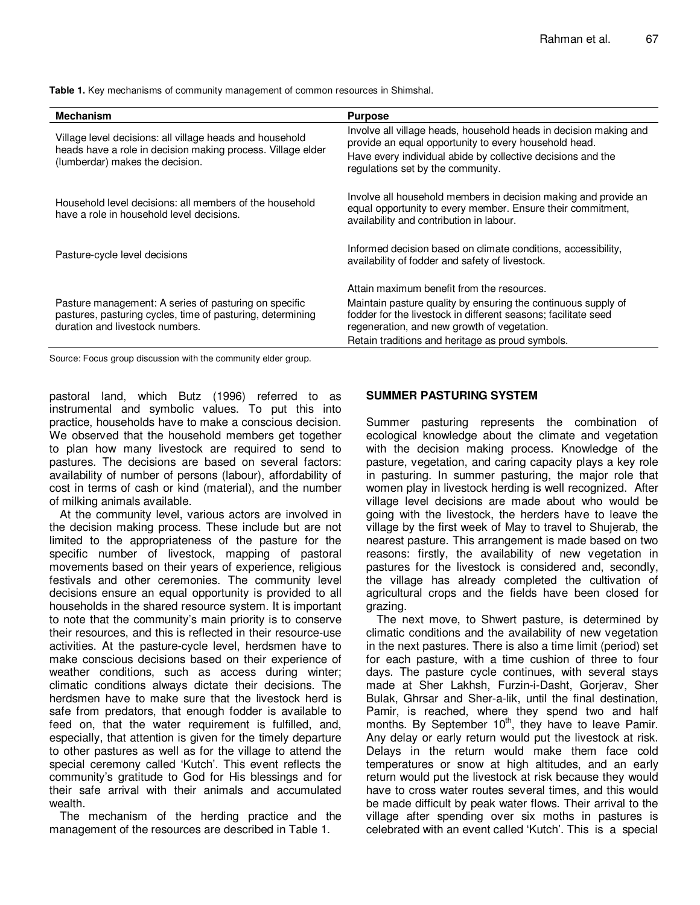**Table 1.** Key mechanisms of community management of common resources in Shimshal.

| <b>Mechanism</b>                                                                                                                                           | <b>Purpose</b>                                                                                                                                                                                                                     |
|------------------------------------------------------------------------------------------------------------------------------------------------------------|------------------------------------------------------------------------------------------------------------------------------------------------------------------------------------------------------------------------------------|
| Village level decisions: all village heads and household<br>heads have a role in decision making process. Village elder<br>(lumberdar) makes the decision. | Involve all village heads, household heads in decision making and<br>provide an equal opportunity to every household head.<br>Have every individual abide by collective decisions and the<br>regulations set by the community.     |
| Household level decisions: all members of the household<br>have a role in household level decisions.                                                       | Involve all household members in decision making and provide an<br>equal opportunity to every member. Ensure their commitment,<br>availability and contribution in labour.                                                         |
| Pasture-cycle level decisions                                                                                                                              | Informed decision based on climate conditions, accessibility,<br>availability of fodder and safety of livestock.                                                                                                                   |
|                                                                                                                                                            | Attain maximum benefit from the resources.                                                                                                                                                                                         |
| Pasture management: A series of pasturing on specific<br>pastures, pasturing cycles, time of pasturing, determining<br>duration and livestock numbers.     | Maintain pasture quality by ensuring the continuous supply of<br>fodder for the livestock in different seasons; facilitate seed<br>regeneration, and new growth of vegetation.<br>Retain traditions and heritage as proud symbols. |

Source: Focus group discussion with the community elder group.

pastoral land, which Butz (1996) referred to as instrumental and symbolic values. To put this into practice, households have to make a conscious decision. We observed that the household members get together to plan how many livestock are required to send to pastures. The decisions are based on several factors: availability of number of persons (labour), affordability of cost in terms of cash or kind (material), and the number of milking animals available.

At the community level, various actors are involved in the decision making process. These include but are not limited to the appropriateness of the pasture for the specific number of livestock, mapping of pastoral movements based on their years of experience, religious festivals and other ceremonies. The community level decisions ensure an equal opportunity is provided to all households in the shared resource system. It is important to note that the community's main priority is to conserve their resources, and this is reflected in their resource-use activities. At the pasture-cycle level, herdsmen have to make conscious decisions based on their experience of weather conditions, such as access during winter; climatic conditions always dictate their decisions. The herdsmen have to make sure that the livestock herd is safe from predators, that enough fodder is available to feed on, that the water requirement is fulfilled, and, especially, that attention is given for the timely departure to other pastures as well as for the village to attend the special ceremony called 'Kutch'. This event reflects the community's gratitude to God for His blessings and for their safe arrival with their animals and accumulated wealth.

The mechanism of the herding practice and the management of the resources are described in Table 1.

#### **SUMMER PASTURING SYSTEM**

Summer pasturing represents the combination of ecological knowledge about the climate and vegetation with the decision making process. Knowledge of the pasture, vegetation, and caring capacity plays a key role in pasturing. In summer pasturing, the major role that women play in livestock herding is well recognized. After village level decisions are made about who would be going with the livestock, the herders have to leave the village by the first week of May to travel to Shujerab, the nearest pasture. This arrangement is made based on two reasons: firstly, the availability of new vegetation in pastures for the livestock is considered and, secondly, the village has already completed the cultivation of agricultural crops and the fields have been closed for grazing.

The next move, to Shwert pasture, is determined by climatic conditions and the availability of new vegetation in the next pastures. There is also a time limit (period) set for each pasture, with a time cushion of three to four days. The pasture cycle continues, with several stays made at Sher Lakhsh, Furzin-i-Dasht, Gorjerav, Sher Bulak, Ghrsar and Sher-a-lik, until the final destination, Pamir, is reached, where they spend two and half months. By September 10<sup>th</sup>, they have to leave Pamir. Any delay or early return would put the livestock at risk. Delays in the return would make them face cold temperatures or snow at high altitudes, and an early return would put the livestock at risk because they would have to cross water routes several times, and this would be made difficult by peak water flows. Their arrival to the village after spending over six moths in pastures is celebrated with an event called 'Kutch'. This is a special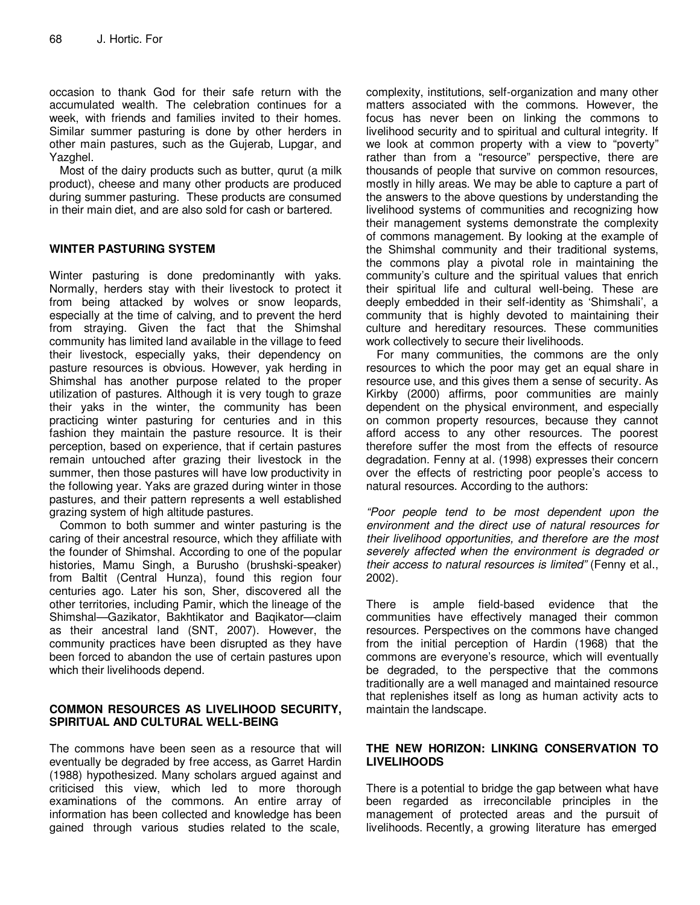occasion to thank God for their safe return with the accumulated wealth. The celebration continues for a week, with friends and families invited to their homes. Similar summer pasturing is done by other herders in other main pastures, such as the Gujerab, Lupgar, and Yazghel.

Most of the dairy products such as butter, qurut (a milk product), cheese and many other products are produced during summer pasturing. These products are consumed in their main diet, and are also sold for cash or bartered.

#### **WINTER PASTURING SYSTEM**

Winter pasturing is done predominantly with yaks. Normally, herders stay with their livestock to protect it from being attacked by wolves or snow leopards, especially at the time of calving, and to prevent the herd from straying. Given the fact that the Shimshal community has limited land available in the village to feed their livestock, especially yaks, their dependency on pasture resources is obvious. However, yak herding in Shimshal has another purpose related to the proper utilization of pastures. Although it is very tough to graze their yaks in the winter, the community has been practicing winter pasturing for centuries and in this fashion they maintain the pasture resource. It is their perception, based on experience, that if certain pastures remain untouched after grazing their livestock in the summer, then those pastures will have low productivity in the following year. Yaks are grazed during winter in those pastures, and their pattern represents a well established grazing system of high altitude pastures.

Common to both summer and winter pasturing is the caring of their ancestral resource, which they affiliate with the founder of Shimshal. According to one of the popular histories, Mamu Singh, a Burusho (brushski-speaker) from Baltit (Central Hunza), found this region four centuries ago. Later his son, Sher, discovered all the other territories, including Pamir, which the lineage of the Shimshal—Gazikator, Bakhtikator and Baqikator—claim as their ancestral land (SNT, 2007). However, the community practices have been disrupted as they have been forced to abandon the use of certain pastures upon which their livelihoods depend.

#### **COMMON RESOURCES AS LIVELIHOOD SECURITY, SPIRITUAL AND CULTURAL WELL-BEING**

The commons have been seen as a resource that will eventually be degraded by free access, as Garret Hardin (1988) hypothesized. Many scholars argued against and criticised this view, which led to more thorough examinations of the commons. An entire array of information has been collected and knowledge has been gained through various studies related to the scale,

complexity, institutions, self-organization and many other matters associated with the commons. However, the focus has never been on linking the commons to livelihood security and to spiritual and cultural integrity. If we look at common property with a view to "poverty" rather than from a "resource" perspective, there are thousands of people that survive on common resources, mostly in hilly areas. We may be able to capture a part of the answers to the above questions by understanding the livelihood systems of communities and recognizing how their management systems demonstrate the complexity of commons management. By looking at the example of the Shimshal community and their traditional systems, the commons play a pivotal role in maintaining the community's culture and the spiritual values that enrich their spiritual life and cultural well-being. These are deeply embedded in their self-identity as 'Shimshali', a community that is highly devoted to maintaining their culture and hereditary resources. These communities work collectively to secure their livelihoods.

For many communities, the commons are the only resources to which the poor may get an equal share in resource use, and this gives them a sense of security. As Kirkby (2000) affirms, poor communities are mainly dependent on the physical environment, and especially on common property resources, because they cannot afford access to any other resources. The poorest therefore suffer the most from the effects of resource degradation. Fenny at al. (1998) expresses their concern over the effects of restricting poor people's access to natural resources. According to the authors:

"Poor people tend to be most dependent upon the environment and the direct use of natural resources for their livelihood opportunities, and therefore are the most severely affected when the environment is degraded or their access to natural resources is limited" (Fenny et al., 2002).

There is ample field-based evidence that the communities have effectively managed their common resources. Perspectives on the commons have changed from the initial perception of Hardin (1968) that the commons are everyone's resource, which will eventually be degraded, to the perspective that the commons traditionally are a well managed and maintained resource that replenishes itself as long as human activity acts to maintain the landscape.

#### **THE NEW HORIZON: LINKING CONSERVATION TO LIVELIHOODS**

There is a potential to bridge the gap between what have been regarded as irreconcilable principles in the management of protected areas and the pursuit of livelihoods. Recently, a growing literature has emerged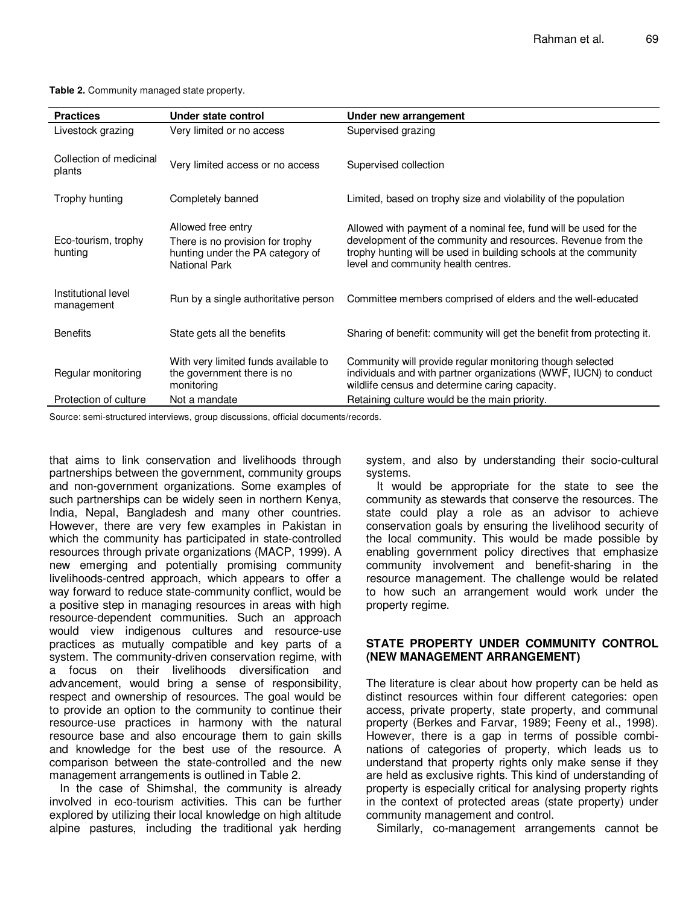**Table 2.** Community managed state property.

| <b>Practices</b>                  | Under state control                                                                                                | Under new arrangement                                                                                                                                                                                                                       |
|-----------------------------------|--------------------------------------------------------------------------------------------------------------------|---------------------------------------------------------------------------------------------------------------------------------------------------------------------------------------------------------------------------------------------|
| Livestock grazing                 | Very limited or no access                                                                                          | Supervised grazing                                                                                                                                                                                                                          |
| Collection of medicinal<br>plants | Very limited access or no access                                                                                   | Supervised collection                                                                                                                                                                                                                       |
| Trophy hunting                    | Completely banned                                                                                                  | Limited, based on trophy size and violability of the population                                                                                                                                                                             |
| Eco-tourism, trophy<br>hunting    | Allowed free entry<br>There is no provision for trophy<br>hunting under the PA category of<br><b>National Park</b> | Allowed with payment of a nominal fee, fund will be used for the<br>development of the community and resources. Revenue from the<br>trophy hunting will be used in building schools at the community<br>level and community health centres. |
| Institutional level<br>management | Run by a single authoritative person                                                                               | Committee members comprised of elders and the well-educated                                                                                                                                                                                 |
| <b>Benefits</b>                   | State gets all the benefits                                                                                        | Sharing of benefit: community will get the benefit from protecting it.                                                                                                                                                                      |
| Regular monitoring                | With very limited funds available to<br>the government there is no<br>monitoring                                   | Community will provide regular monitoring though selected<br>individuals and with partner organizations (WWF, IUCN) to conduct<br>wildlife census and determine caring capacity.                                                            |
| Protection of culture             | Not a mandate                                                                                                      | Retaining culture would be the main priority.                                                                                                                                                                                               |

Source: semi-structured interviews, group discussions, official documents/records.

that aims to link conservation and livelihoods through partnerships between the government, community groups and non-government organizations. Some examples of such partnerships can be widely seen in northern Kenya, India, Nepal, Bangladesh and many other countries. However, there are very few examples in Pakistan in which the community has participated in state-controlled resources through private organizations (MACP, 1999). A new emerging and potentially promising community livelihoods-centred approach, which appears to offer a way forward to reduce state-community conflict, would be a positive step in managing resources in areas with high resource-dependent communities. Such an approach would view indigenous cultures and resource-use practices as mutually compatible and key parts of a system. The community-driven conservation regime, with a focus on their livelihoods diversification and advancement, would bring a sense of responsibility, respect and ownership of resources. The goal would be to provide an option to the community to continue their resource-use practices in harmony with the natural resource base and also encourage them to gain skills and knowledge for the best use of the resource. A comparison between the state-controlled and the new management arrangements is outlined in Table 2.

In the case of Shimshal, the community is already involved in eco-tourism activities. This can be further explored by utilizing their local knowledge on high altitude alpine pastures, including the traditional yak herding

system, and also by understanding their socio-cultural systems.

It would be appropriate for the state to see the community as stewards that conserve the resources. The state could play a role as an advisor to achieve conservation goals by ensuring the livelihood security of the local community. This would be made possible by enabling government policy directives that emphasize community involvement and benefit-sharing in the resource management. The challenge would be related to how such an arrangement would work under the property regime.

#### **STATE PROPERTY UNDER COMMUNITY CONTROL (NEW MANAGEMENT ARRANGEMENT)**

The literature is clear about how property can be held as distinct resources within four different categories: open access, private property, state property, and communal property (Berkes and Farvar, 1989; Feeny et al., 1998). However, there is a gap in terms of possible combinations of categories of property, which leads us to understand that property rights only make sense if they are held as exclusive rights. This kind of understanding of property is especially critical for analysing property rights in the context of protected areas (state property) under community management and control.

Similarly, co-management arrangements cannot be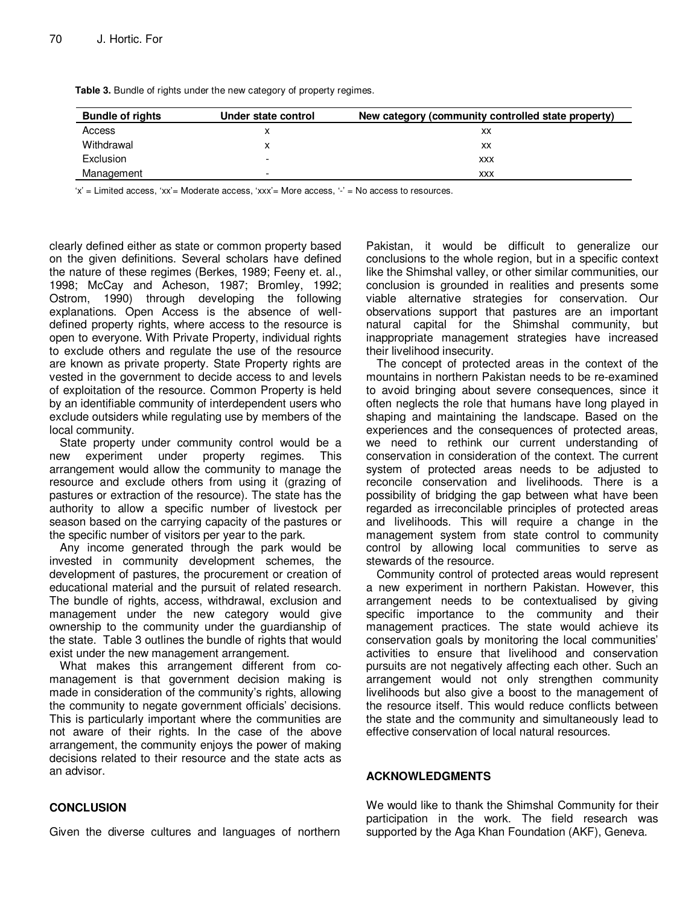| <b>Bundle of rights</b> | Under state control | New category (community controlled state property) |
|-------------------------|---------------------|----------------------------------------------------|
| Access                  |                     | XX                                                 |
| Withdrawal              |                     | XX                                                 |
| <b>Exclusion</b>        | ۰                   | <b>XXX</b>                                         |
| Management              | -                   | <b>XXX</b>                                         |

**Table 3.** Bundle of rights under the new category of property regimes.

 $x' =$  Limited access,  $x' =$  Moderate access,  $x' =$  More access,  $- =$  No access to resources.

clearly defined either as state or common property based on the given definitions. Several scholars have defined the nature of these regimes (Berkes, 1989; Feeny et. al., 1998; McCay and Acheson, 1987; Bromley, 1992; Ostrom, 1990) through developing the following explanations. Open Access is the absence of welldefined property rights, where access to the resource is open to everyone. With Private Property, individual rights to exclude others and regulate the use of the resource are known as private property. State Property rights are vested in the government to decide access to and levels of exploitation of the resource. Common Property is held by an identifiable community of interdependent users who exclude outsiders while regulating use by members of the local community.

State property under community control would be a new experiment under property regimes. This arrangement would allow the community to manage the resource and exclude others from using it (grazing of pastures or extraction of the resource). The state has the authority to allow a specific number of livestock per season based on the carrying capacity of the pastures or the specific number of visitors per year to the park.

Any income generated through the park would be invested in community development schemes, the development of pastures, the procurement or creation of educational material and the pursuit of related research. The bundle of rights, access, withdrawal, exclusion and management under the new category would give ownership to the community under the guardianship of the state. Table 3 outlines the bundle of rights that would exist under the new management arrangement.

What makes this arrangement different from comanagement is that government decision making is made in consideration of the community's rights, allowing the community to negate government officials' decisions. This is particularly important where the communities are not aware of their rights. In the case of the above arrangement, the community enjoys the power of making decisions related to their resource and the state acts as an advisor.

Pakistan, it would be difficult to generalize our conclusions to the whole region, but in a specific context like the Shimshal valley, or other similar communities, our conclusion is grounded in realities and presents some viable alternative strategies for conservation. Our observations support that pastures are an important natural capital for the Shimshal community, but inappropriate management strategies have increased their livelihood insecurity.

The concept of protected areas in the context of the mountains in northern Pakistan needs to be re-examined to avoid bringing about severe consequences, since it often neglects the role that humans have long played in shaping and maintaining the landscape. Based on the experiences and the consequences of protected areas, we need to rethink our current understanding of conservation in consideration of the context. The current system of protected areas needs to be adjusted to reconcile conservation and livelihoods. There is a possibility of bridging the gap between what have been regarded as irreconcilable principles of protected areas and livelihoods. This will require a change in the management system from state control to community control by allowing local communities to serve as stewards of the resource.

Community control of protected areas would represent a new experiment in northern Pakistan. However, this arrangement needs to be contextualised by giving specific importance to the community and their management practices. The state would achieve its conservation goals by monitoring the local communities' activities to ensure that livelihood and conservation pursuits are not negatively affecting each other. Such an arrangement would not only strengthen community livelihoods but also give a boost to the management of the resource itself. This would reduce conflicts between the state and the community and simultaneously lead to effective conservation of local natural resources.

#### **ACKNOWLEDGMENTS**

#### We would like to thank the Shimshal Community for their participation in the work. The field research was supported by the Aga Khan Foundation (AKF), Geneva.

#### **CONCLUSION**

Given the diverse cultures and languages of northern